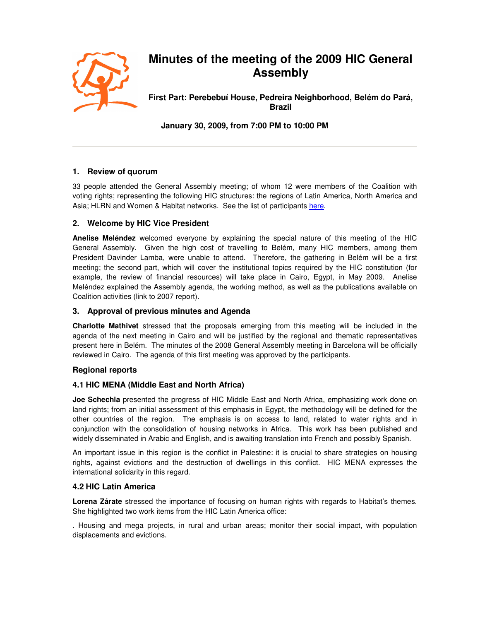

# **Minutes of the meeting of the 2009 HIC General Assembly**

**First Part: Perebebuí House, Pedreira Neighborhood, Belém do Pará, Brazil** 

**January 30, 2009, from 7:00 PM to 10:00 PM** 

# **1. Review of quorum**

33 people attended the General Assembly meeting; of whom 12 were members of the Coalition with voting rights; representing the following HIC structures: the regions of Latin America, North America and Asia; HLRN and Women & Habitat networks. See the list of participants here.

# **2. Welcome by HIC Vice President**

**Anelise Meléndez** welcomed everyone by explaining the special nature of this meeting of the HIC General Assembly. Given the high cost of travelling to Belém, many HIC members, among them President Davinder Lamba, were unable to attend. Therefore, the gathering in Belém will be a first meeting; the second part, which will cover the institutional topics required by the HIC constitution (for example, the review of financial resources) will take place in Cairo, Egypt, in May 2009. Anelise Meléndez explained the Assembly agenda, the working method, as well as the publications available on Coalition activities (link to 2007 report).

## **3. Approval of previous minutes and Agenda**

**Charlotte Mathivet** stressed that the proposals emerging from this meeting will be included in the agenda of the next meeting in Cairo and will be justified by the regional and thematic representatives present here in Belém. The minutes of the 2008 General Assembly meeting in Barcelona will be officially reviewed in Cairo. The agenda of this first meeting was approved by the participants.

## **Regional reports**

## **4.1 HIC MENA (Middle East and North Africa)**

**Joe Schechla** presented the progress of HIC Middle East and North Africa, emphasizing work done on land rights; from an initial assessment of this emphasis in Egypt, the methodology will be defined for the other countries of the region. The emphasis is on access to land, related to water rights and in conjunction with the consolidation of housing networks in Africa. This work has been published and widely disseminated in Arabic and English, and is awaiting translation into French and possibly Spanish.

An important issue in this region is the conflict in Palestine: it is crucial to share strategies on housing rights, against evictions and the destruction of dwellings in this conflict. HIC MENA expresses the international solidarity in this regard.

## **4.2 HIC Latin America**

**Lorena Zárate** stressed the importance of focusing on human rights with regards to Habitat's themes. She highlighted two work items from the HIC Latin America office:

. Housing and mega projects, in rural and urban areas; monitor their social impact, with population displacements and evictions.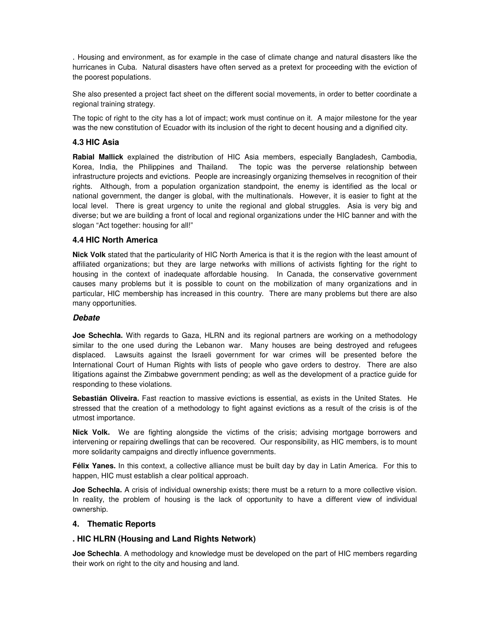. Housing and environment, as for example in the case of climate change and natural disasters like the hurricanes in Cuba. Natural disasters have often served as a pretext for proceeding with the eviction of the poorest populations.

She also presented a project fact sheet on the different social movements, in order to better coordinate a regional training strategy.

The topic of right to the city has a lot of impact; work must continue on it. A major milestone for the year was the new constitution of Ecuador with its inclusion of the right to decent housing and a dignified city.

### **4.3 HIC Asia**

**Rabial Mallick** explained the distribution of HIC Asia members, especially Bangladesh, Cambodia, Korea, India, the Philippines and Thailand. The topic was the perverse relationship between infrastructure projects and evictions. People are increasingly organizing themselves in recognition of their rights. Although, from a population organization standpoint, the enemy is identified as the local or national government, the danger is global, with the multinationals. However, it is easier to fight at the local level. There is great urgency to unite the regional and global struggles. Asia is very big and diverse; but we are building a front of local and regional organizations under the HIC banner and with the slogan "Act together: housing for all!"

#### **4.4 HIC North America**

**Nick Volk** stated that the particularity of HIC North America is that it is the region with the least amount of affiliated organizations; but they are large networks with millions of activists fighting for the right to housing in the context of inadequate affordable housing. In Canada, the conservative government causes many problems but it is possible to count on the mobilization of many organizations and in particular, HIC membership has increased in this country. There are many problems but there are also many opportunities.

#### **Debate**

**Joe Schechla.** With regards to Gaza, HLRN and its regional partners are working on a methodology similar to the one used during the Lebanon war. Many houses are being destroyed and refugees displaced. Lawsuits against the Israeli government for war crimes will be presented before the International Court of Human Rights with lists of people who gave orders to destroy. There are also litigations against the Zimbabwe government pending; as well as the development of a practice guide for responding to these violations.

**Sebastián Oliveira.** Fast reaction to massive evictions is essential, as exists in the United States. He stressed that the creation of a methodology to fight against evictions as a result of the crisis is of the utmost importance.

**Nick Volk.** We are fighting alongside the victims of the crisis; advising mortgage borrowers and intervening or repairing dwellings that can be recovered. Our responsibility, as HIC members, is to mount more solidarity campaigns and directly influence governments.

**Félix Yanes.** In this context, a collective alliance must be built day by day in Latin America. For this to happen, HIC must establish a clear political approach.

**Joe Schechla.** A crisis of individual ownership exists; there must be a return to a more collective vision. In reality, the problem of housing is the lack of opportunity to have a different view of individual ownership.

#### **4. Thematic Reports**

## **. HIC HLRN (Housing and Land Rights Network)**

**Joe Schechla**. A methodology and knowledge must be developed on the part of HIC members regarding their work on right to the city and housing and land.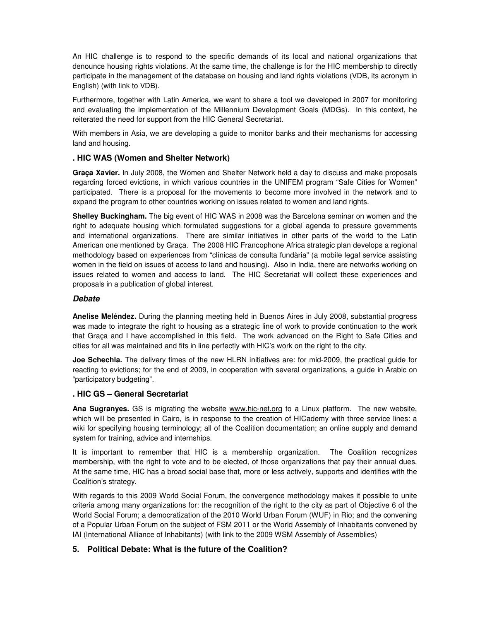An HIC challenge is to respond to the specific demands of its local and national organizations that denounce housing rights violations. At the same time, the challenge is for the HIC membership to directly participate in the management of the database on housing and land rights violations (VDB, its acronym in English) (with link to VDB).

Furthermore, together with Latin America, we want to share a tool we developed in 2007 for monitoring and evaluating the implementation of the Millennium Development Goals (MDGs). In this context, he reiterated the need for support from the HIC General Secretariat.

With members in Asia, we are developing a guide to monitor banks and their mechanisms for accessing land and housing.

## **. HIC WAS (Women and Shelter Network)**

**Graça Xavier.** In July 2008, the Women and Shelter Network held a day to discuss and make proposals regarding forced evictions, in which various countries in the UNIFEM program "Safe Cities for Women" participated. There is a proposal for the movements to become more involved in the network and to expand the program to other countries working on issues related to women and land rights.

**Shelley Buckingham.** The big event of HIC WAS in 2008 was the Barcelona seminar on women and the right to adequate housing which formulated suggestions for a global agenda to pressure governments and international organizations. There are similar initiatives in other parts of the world to the Latin American one mentioned by Graça. The 2008 HIC Francophone Africa strategic plan develops a regional methodology based on experiences from "clínicas de consulta fundària" (a mobile legal service assisting women in the field on issues of access to land and housing). Also in India, there are networks working on issues related to women and access to land. The HIC Secretariat will collect these experiences and proposals in a publication of global interest.

#### **Debate**

**Anelise Meléndez.** During the planning meeting held in Buenos Aires in July 2008, substantial progress was made to integrate the right to housing as a strategic line of work to provide continuation to the work that Graça and I have accomplished in this field. The work advanced on the Right to Safe Cities and cities for all was maintained and fits in line perfectly with HIC's work on the right to the city.

**Joe Schechla.** The delivery times of the new HLRN initiatives are: for mid-2009, the practical guide for reacting to evictions; for the end of 2009, in cooperation with several organizations, a guide in Arabic on "participatory budgeting".

#### **. HIC GS – General Secretariat**

**Ana Sugranyes.** GS is migrating the website www.hic-net.org to a Linux platform. The new website, which will be presented in Cairo, is in response to the creation of HICademy with three service lines: a wiki for specifying housing terminology; all of the Coalition documentation; an online supply and demand system for training, advice and internships.

It is important to remember that HIC is a membership organization. The Coalition recognizes membership, with the right to vote and to be elected, of those organizations that pay their annual dues. At the same time, HIC has a broad social base that, more or less actively, supports and identifies with the Coalition's strategy.

With regards to this 2009 World Social Forum, the convergence methodology makes it possible to unite criteria among many organizations for: the recognition of the right to the city as part of Objective 6 of the World Social Forum; a democratization of the 2010 World Urban Forum (WUF) in Rio; and the convening of a Popular Urban Forum on the subject of FSM 2011 or the World Assembly of Inhabitants convened by IAI (International Alliance of Inhabitants) (with link to the 2009 WSM Assembly of Assemblies)

## **5. Political Debate: What is the future of the Coalition?**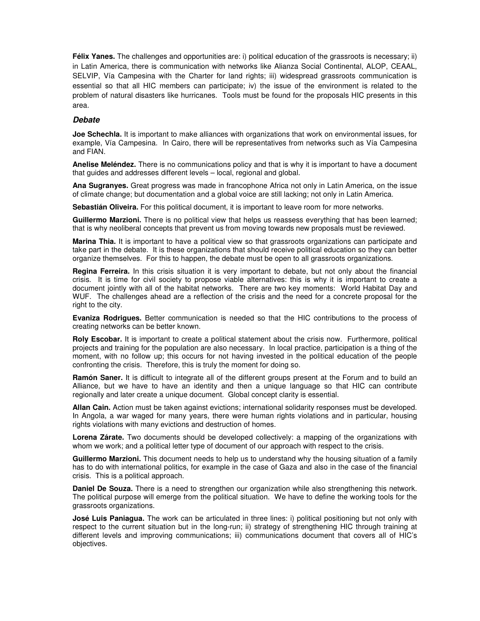**Félix Yanes.** The challenges and opportunities are: i) political education of the grassroots is necessary; ii) in Latin America, there is communication with networks like Alianza Social Continental, ALOP, CEAAL, SELVIP, Vía Campesina with the Charter for land rights; iii) widespread grassroots communication is essential so that all HIC members can participate; iv) the issue of the environment is related to the problem of natural disasters like hurricanes. Tools must be found for the proposals HIC presents in this area.

#### **Debate**

**Joe Schechla.** It is important to make alliances with organizations that work on environmental issues, for example, Vía Campesina. In Cairo, there will be representatives from networks such as Vía Campesina and FIAN.

**Anelise Meléndez.** There is no communications policy and that is why it is important to have a document that guides and addresses different levels – local, regional and global.

**Ana Sugranyes.** Great progress was made in francophone Africa not only in Latin America, on the issue of climate change; but documentation and a global voice are still lacking; not only in Latin America.

**Sebastián Oliveira.** For this political document, it is important to leave room for more networks.

**Guillermo Marzioni.** There is no political view that helps us reassess everything that has been learned; that is why neoliberal concepts that prevent us from moving towards new proposals must be reviewed.

**Marina Thia.** It is important to have a political view so that grassroots organizations can participate and take part in the debate. It is these organizations that should receive political education so they can better organize themselves. For this to happen, the debate must be open to all grassroots organizations.

**Regina Ferreira.** In this crisis situation it is very important to debate, but not only about the financial crisis. It is time for civil society to propose viable alternatives: this is why it is important to create a document jointly with all of the habitat networks. There are two key moments: World Habitat Day and WUF. The challenges ahead are a reflection of the crisis and the need for a concrete proposal for the right to the city.

**Evaniza Rodrigues.** Better communication is needed so that the HIC contributions to the process of creating networks can be better known.

**Roly Escobar.** It is important to create a political statement about the crisis now. Furthermore, political projects and training for the population are also necessary. In local practice, participation is a thing of the moment, with no follow up; this occurs for not having invested in the political education of the people confronting the crisis. Therefore, this is truly the moment for doing so.

**Ramón Saner.** It is difficult to integrate all of the different groups present at the Forum and to build an Alliance, but we have to have an identity and then a unique language so that HIC can contribute regionally and later create a unique document. Global concept clarity is essential.

**Allan Cain.** Action must be taken against evictions; international solidarity responses must be developed. In Angola, a war waged for many years, there were human rights violations and in particular, housing rights violations with many evictions and destruction of homes.

**Lorena Zárate.** Two documents should be developed collectively: a mapping of the organizations with whom we work; and a political letter type of document of our approach with respect to the crisis.

**Guillermo Marzioni.** This document needs to help us to understand why the housing situation of a family has to do with international politics, for example in the case of Gaza and also in the case of the financial crisis. This is a political approach.

**Daniel De Souza.** There is a need to strengthen our organization while also strengthening this network. The political purpose will emerge from the political situation. We have to define the working tools for the grassroots organizations.

**José Luis Paniagua.** The work can be articulated in three lines: i) political positioning but not only with respect to the current situation but in the long-run; ii) strategy of strengthening HIC through training at different levels and improving communications; iii) communications document that covers all of HIC's objectives.